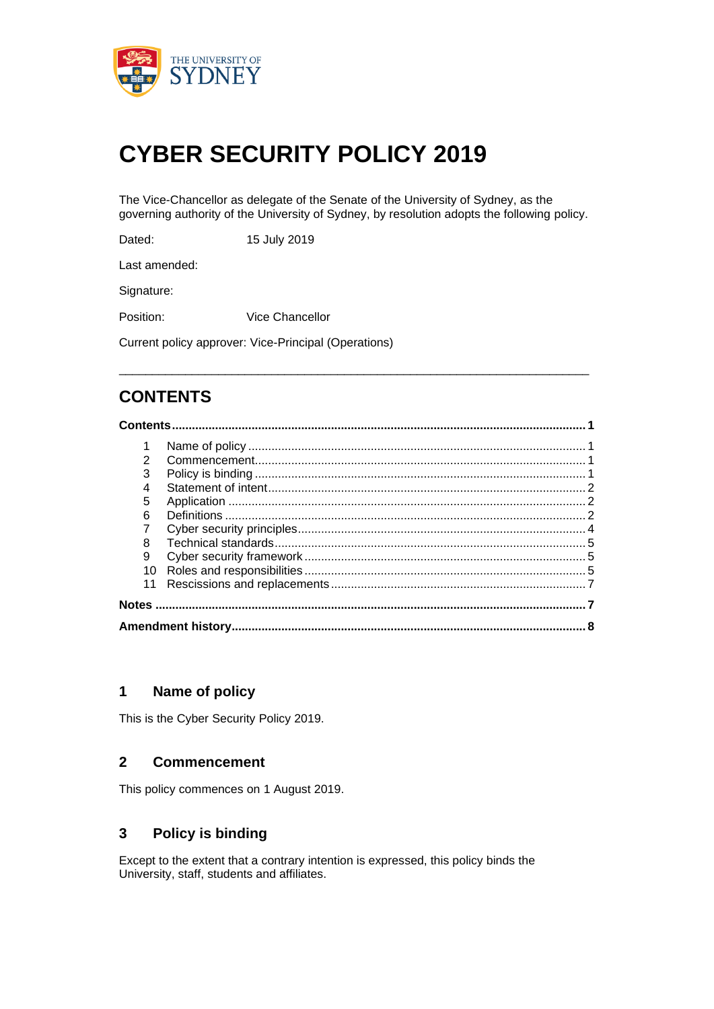

# **CYBER SECURITY POLICY 2019**

The Vice-Chancellor as delegate of the Senate of the University of Sydney, as the governing authority of the University of Sydney, by resolution adopts the following policy.

Dated: 15 July 2019

Last amended:

Signature:

Position: Vice Chancellor

Current policy approver: Vice-Principal (Operations)

# **CONTENTS**

## **Contents............................................................................................................................. 1** 1 Name of policy ...................................................................................................... 1

\_\_\_\_\_\_\_\_\_\_\_\_\_\_\_\_\_\_\_\_\_\_\_\_\_\_\_\_\_\_\_\_\_\_\_\_\_\_\_\_\_\_\_\_\_\_\_\_\_\_\_\_\_\_\_\_\_\_\_\_\_\_\_\_\_\_\_\_\_\_\_

|  | 2  |  |  |  |  |  |
|--|----|--|--|--|--|--|
|  | 3  |  |  |  |  |  |
|  | 4  |  |  |  |  |  |
|  | 5  |  |  |  |  |  |
|  | 6  |  |  |  |  |  |
|  |    |  |  |  |  |  |
|  | 8  |  |  |  |  |  |
|  | 9  |  |  |  |  |  |
|  | 10 |  |  |  |  |  |
|  |    |  |  |  |  |  |
|  |    |  |  |  |  |  |
|  |    |  |  |  |  |  |
|  |    |  |  |  |  |  |

## **1 Name of policy**

This is the Cyber Security Policy 2019.

#### **2 Commencement**

This policy commences on 1 August 2019.

## **3 Policy is binding**

Except to the extent that a contrary intention is expressed, this policy binds the University, staff, students and affiliates.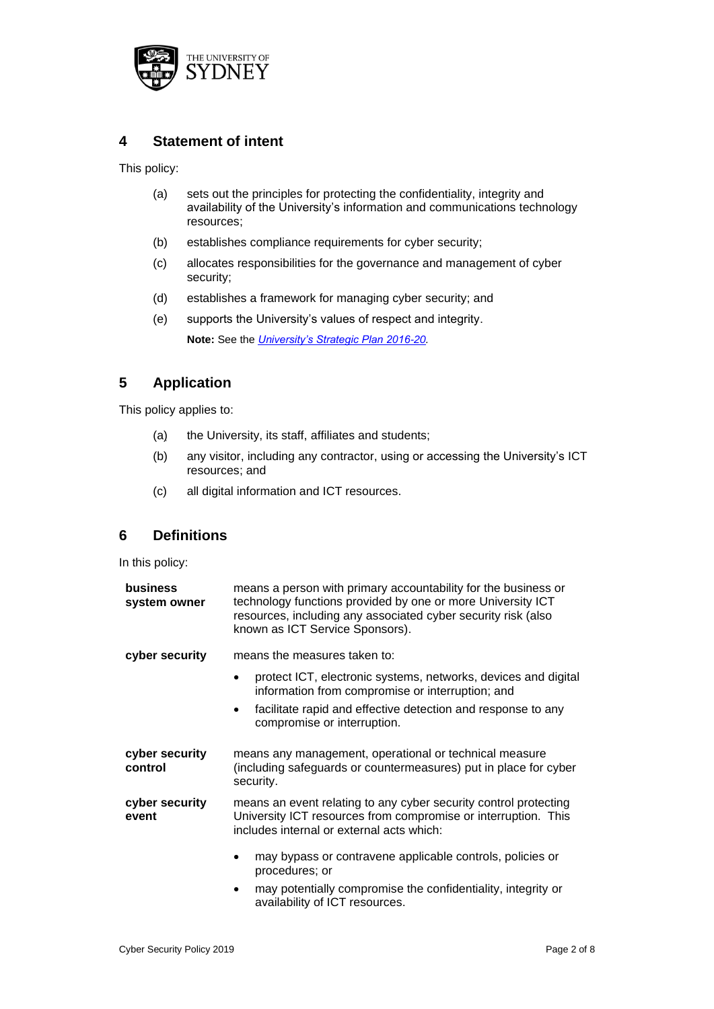

## **4 Statement of intent**

This policy:

- (a) sets out the principles for protecting the confidentiality, integrity and availability of the University's information and communications technology resources;
- (b) establishes compliance requirements for cyber security;
- (c) allocates responsibilities for the governance and management of cyber security;
- (d) establishes a framework for managing cyber security; and
- (e) supports the University's values of respect and integrity. **Note:** See the *[University's Strategic Plan 2016-20.](https://intranet.sydney.edu.au/content/dam/intranet/documents/strategy-and-planning/strategic-plan-2016-20.pdf)*

## **5 Application**

This policy applies to:

- (a) the University, its staff, affiliates and students;
- (b) any visitor, including any contractor, using or accessing the University's ICT resources; and
- (c) all digital information and ICT resources.

## **6 Definitions**

In this policy:

| business<br>system owner  | means a person with primary accountability for the business or<br>technology functions provided by one or more University ICT<br>resources, including any associated cyber security risk (also<br>known as ICT Service Sponsors). |
|---------------------------|-----------------------------------------------------------------------------------------------------------------------------------------------------------------------------------------------------------------------------------|
| cyber security            | means the measures taken to:                                                                                                                                                                                                      |
|                           | protect ICT, electronic systems, networks, devices and digital<br>information from compromise or interruption; and                                                                                                                |
|                           | facilitate rapid and effective detection and response to any<br>$\bullet$<br>compromise or interruption.                                                                                                                          |
| cyber security<br>control | means any management, operational or technical measure<br>(including safeguards or countermeasures) put in place for cyber<br>security.                                                                                           |
| cyber security<br>event   | means an event relating to any cyber security control protecting<br>University ICT resources from compromise or interruption. This<br>includes internal or external acts which:                                                   |
|                           | may bypass or contravene applicable controls, policies or<br>procedures; or                                                                                                                                                       |
|                           | may potentially compromise the confidentiality, integrity or<br>$\bullet$<br>availability of ICT resources.                                                                                                                       |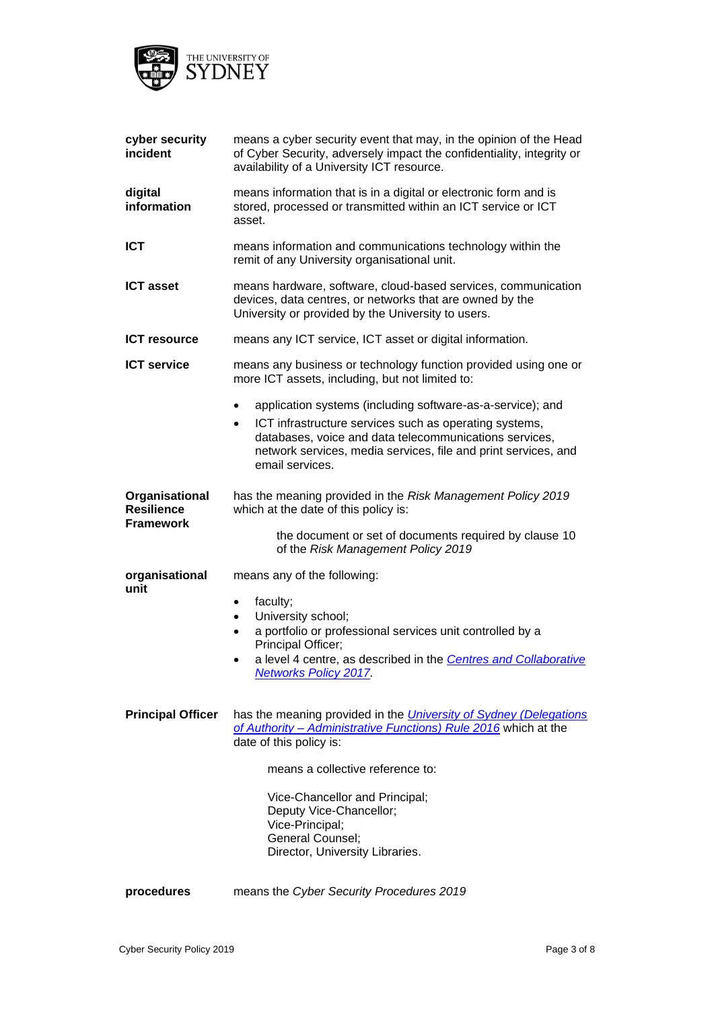

| cyber security<br>incident                              | means a cyber security event that may, in the opinion of the Head<br>of Cyber Security, adversely impact the confidentiality, integrity or<br>availability of a University ICT resource.                                                                                                                                                          |  |  |
|---------------------------------------------------------|---------------------------------------------------------------------------------------------------------------------------------------------------------------------------------------------------------------------------------------------------------------------------------------------------------------------------------------------------|--|--|
| digital<br>information                                  | means information that is in a digital or electronic form and is<br>stored, processed or transmitted within an ICT service or ICT<br>asset.                                                                                                                                                                                                       |  |  |
| <b>ICT</b>                                              | means information and communications technology within the<br>remit of any University organisational unit.                                                                                                                                                                                                                                        |  |  |
| <b>ICT asset</b>                                        | means hardware, software, cloud-based services, communication<br>devices, data centres, or networks that are owned by the<br>University or provided by the University to users.                                                                                                                                                                   |  |  |
| <b>ICT resource</b>                                     | means any ICT service, ICT asset or digital information.                                                                                                                                                                                                                                                                                          |  |  |
| <b>ICT service</b>                                      | means any business or technology function provided using one or<br>more ICT assets, including, but not limited to:                                                                                                                                                                                                                                |  |  |
|                                                         | application systems (including software-as-a-service); and<br>$\bullet$<br>ICT infrastructure services such as operating systems,<br>$\bullet$<br>databases, voice and data telecommunications services,<br>network services, media services, file and print services, and<br>email services.                                                     |  |  |
| Organisational<br><b>Resilience</b><br><b>Framework</b> | has the meaning provided in the Risk Management Policy 2019<br>which at the date of this policy is:<br>the document or set of documents required by clause 10<br>of the Risk Management Policy 2019                                                                                                                                               |  |  |
| organisational<br>unit                                  | means any of the following:<br>faculty;<br>$\bullet$<br>University school;<br>$\bullet$<br>a portfolio or professional services unit controlled by a<br>$\bullet$<br>Principal Officer;<br>a level 4 centre, as described in the Centres and Collaborative<br><b>Networks Policy 2017</b>                                                         |  |  |
| <b>Principal Officer</b>                                | has the meaning provided in the <i>University of Sydney (Delegations</i><br>of Authority - Administrative Functions) Rule 2016 which at the<br>date of this policy is:<br>means a collective reference to:<br>Vice-Chancellor and Principal;<br>Deputy Vice-Chancellor;<br>Vice-Principal;<br>General Counsel;<br>Director, University Libraries. |  |  |
| procedures                                              | means the Cyber Security Procedures 2019                                                                                                                                                                                                                                                                                                          |  |  |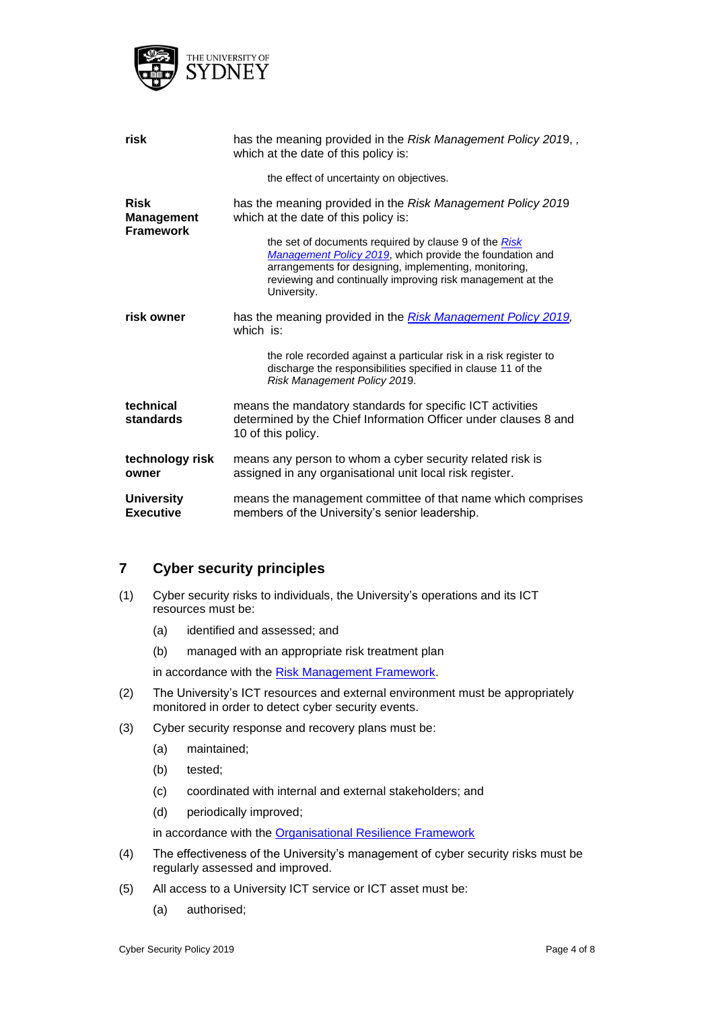

| risk                                                 | has the meaning provided in the Risk Management Policy 2019, ,<br>which at the date of this policy is:                                                                                                                                                  |  |
|------------------------------------------------------|---------------------------------------------------------------------------------------------------------------------------------------------------------------------------------------------------------------------------------------------------------|--|
|                                                      | the effect of uncertainty on objectives.                                                                                                                                                                                                                |  |
| <b>Risk</b><br><b>Management</b><br><b>Framework</b> | has the meaning provided in the Risk Management Policy 2019<br>which at the date of this policy is:                                                                                                                                                     |  |
|                                                      | the set of documents required by clause 9 of the Risk<br>Management Policy 2019, which provide the foundation and<br>arrangements for designing, implementing, monitoring,<br>reviewing and continually improving risk management at the<br>University. |  |
| risk owner                                           | has the meaning provided in the Risk Management Policy 2019,<br>which is:                                                                                                                                                                               |  |
|                                                      | the role recorded against a particular risk in a risk register to<br>discharge the responsibilities specified in clause 11 of the<br>Risk Management Policy 2019.                                                                                       |  |
| technical<br>standards                               | means the mandatory standards for specific ICT activities<br>determined by the Chief Information Officer under clauses 8 and<br>10 of this policy.                                                                                                      |  |
| technology risk<br>owner                             | means any person to whom a cyber security related risk is<br>assigned in any organisational unit local risk register.                                                                                                                                   |  |
| <b>University</b><br><b>Executive</b>                | means the management committee of that name which comprises<br>members of the University's senior leadership.                                                                                                                                           |  |

#### **7 Cyber security principles**

- (1) Cyber security risks to individuals, the University's operations and its ICT resources must be:
	- (a) identified and assessed; and
	- (b) managed with an appropriate risk treatment plan

in accordance with the Risk Management Framework.

- (2) The University's ICT resources and external environment must be appropriately monitored in order to detect cyber security events.
- (3) Cyber security response and recovery plans must be:
	- (a) maintained;
	- (b) tested;
	- (c) coordinated with internal and external stakeholders; and
	- (d) periodically improved;

in accordance with the [Organisational Resilience Framework](https://unisyd.sharepoint.com/:b:/s/RiskManagement/Services/staffhub/Ec2-ZrhCgo5DvMH8tZCsjKgBNOa-XKd15G82GBxxUIq8gA)

- (4) The effectiveness of the University's management of cyber security risks must be regularly assessed and improved.
- (5) All access to a University ICT service or ICT asset must be:
	- (a) authorised;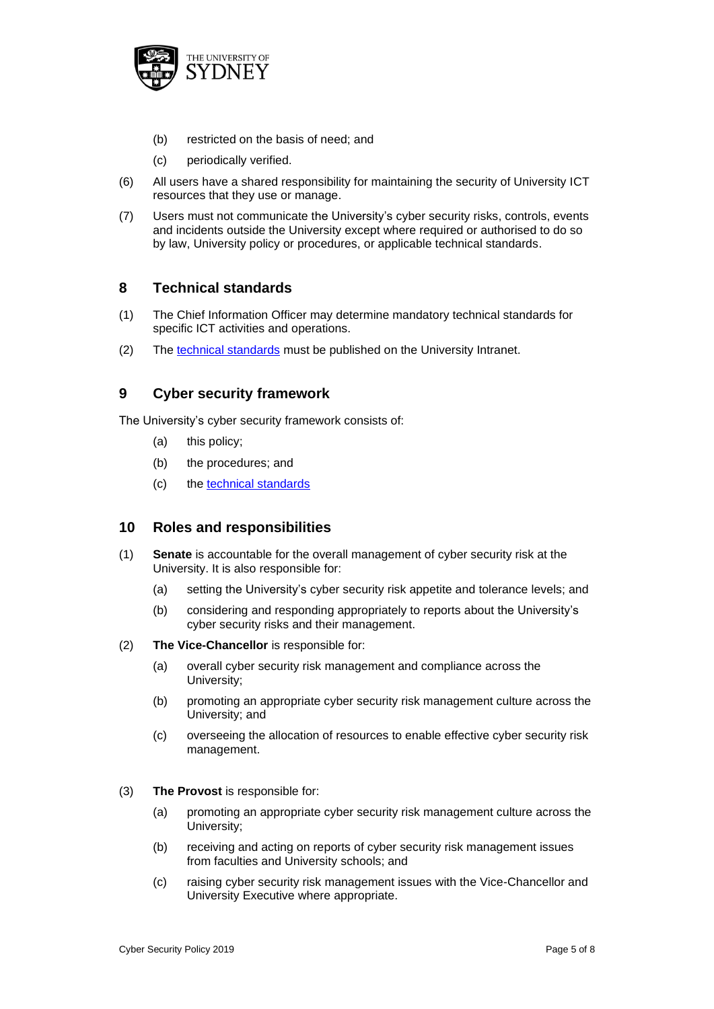

- (b) restricted on the basis of need; and
- (c) periodically verified.
- (6) All users have a shared responsibility for maintaining the security of University ICT resources that they use or manage.
- (7) Users must not communicate the University's cyber security risks, controls, events and incidents outside the University except where required or authorised to do so by law, University policy or procedures, or applicable technical standards.

#### **8 Technical standards**

- (1) The Chief Information Officer may determine mandatory technical standards for specific ICT activities and operations.
- (2) The [technical standards](https://unisyd.sharepoint.com/sites/CPMO/Project/CPMO-44/PUBLISHED%20Cyber%20Security%20Technical%20Standards/Forms/AllItems.aspx) must be published on the University Intranet.

#### **9 Cyber security framework**

The University's cyber security framework consists of:

- (a) this policy;
- (b) the procedures; and
- (c) the [technical standards](https://unisyd.sharepoint.com/sites/CPMO/Project/CPMO-44/PUBLISHED%20Cyber%20Security%20Technical%20Standards/Forms/AllItems.aspx)

#### **10 Roles and responsibilities**

- (1) **Senate** is accountable for the overall management of cyber security risk at the University. It is also responsible for:
	- (a) setting the University's cyber security risk appetite and tolerance levels; and
	- (b) considering and responding appropriately to reports about the University's cyber security risks and their management.
- (2) **The Vice-Chancellor** is responsible for:
	- (a) overall cyber security risk management and compliance across the University;
	- (b) promoting an appropriate cyber security risk management culture across the University; and
	- (c) overseeing the allocation of resources to enable effective cyber security risk management.
- (3) **The Provost** is responsible for:
	- (a) promoting an appropriate cyber security risk management culture across the University;
	- (b) receiving and acting on reports of cyber security risk management issues from faculties and University schools; and
	- (c) raising cyber security risk management issues with the Vice-Chancellor and University Executive where appropriate.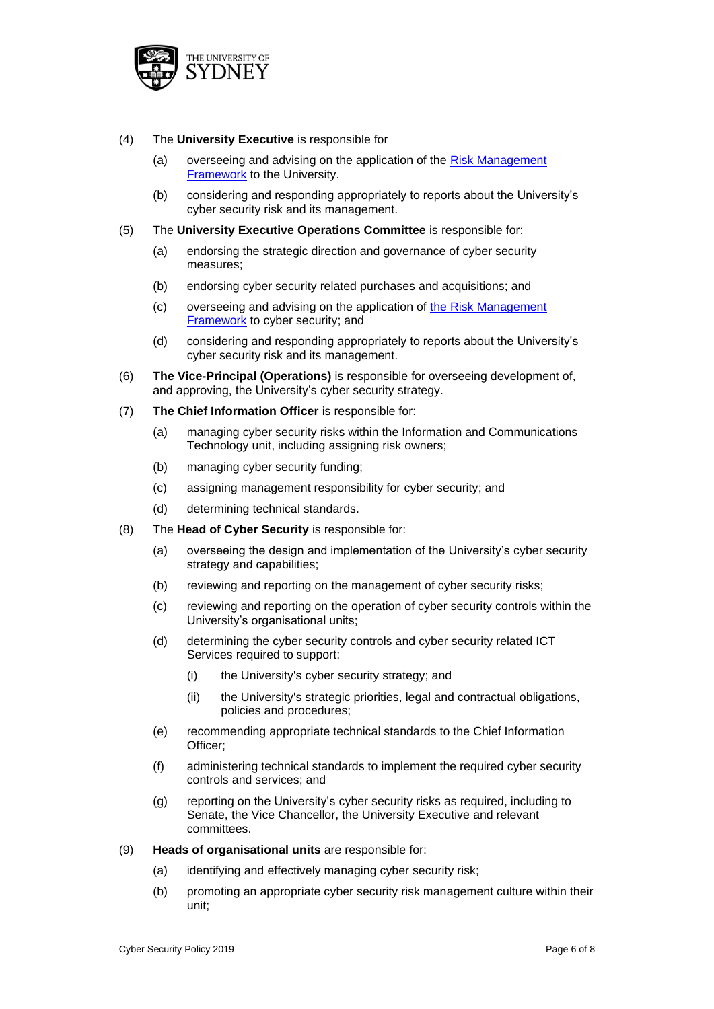

#### (4) The **University Executive** is responsible for

- (a) overseeing and advising on the application of the [Risk Management](https://intranet.sydney.edu.au/content/dam/intranet/documents/contacts-connections/services/risk/risk-management-framework.pdf)  [Framework](https://intranet.sydney.edu.au/content/dam/intranet/documents/contacts-connections/services/risk/risk-management-framework.pdf) to the University.
- (b) considering and responding appropriately to reports about the University's cyber security risk and its management.
- (5) The **University Executive Operations Committee** is responsible for:
	- (a) endorsing the strategic direction and governance of cyber security measures;
	- (b) endorsing cyber security related purchases and acquisitions; and
	- (c) overseeing and advising on the application of [the Risk Management](https://intranet.sydney.edu.au/content/dam/intranet/documents/contacts-connections/services/risk/risk-management-framework.pdf)  **[Framework](https://intranet.sydney.edu.au/content/dam/intranet/documents/contacts-connections/services/risk/risk-management-framework.pdf)** to cyber security; and
	- (d) considering and responding appropriately to reports about the University's cyber security risk and its management.
- (6) **The Vice-Principal (Operations)** is responsible for overseeing development of, and approving, the University's cyber security strategy.
- (7) **The Chief Information Officer** is responsible for:
	- (a) managing cyber security risks within the Information and Communications Technology unit, including assigning risk owners;
	- (b) managing cyber security funding;
	- (c) assigning management responsibility for cyber security; and
	- (d) determining technical standards.
- (8) The **Head of Cyber Security** is responsible for:
	- (a) overseeing the design and implementation of the University's cyber security strategy and capabilities;
	- (b) reviewing and reporting on the management of cyber security risks;
	- (c) reviewing and reporting on the operation of cyber security controls within the University's organisational units;
	- (d) determining the cyber security controls and cyber security related ICT Services required to support:
		- (i) the University's cyber security strategy; and
		- (ii) the University's strategic priorities, legal and contractual obligations, policies and procedures;
	- (e) recommending appropriate technical standards to the Chief Information Officer;
	- (f) administering technical standards to implement the required cyber security controls and services; and
	- (g) reporting on the University's cyber security risks as required, including to Senate, the Vice Chancellor, the University Executive and relevant committees.
- (9) **Heads of organisational units** are responsible for:
	- (a) identifying and effectively managing cyber security risk;
	- (b) promoting an appropriate cyber security risk management culture within their unit;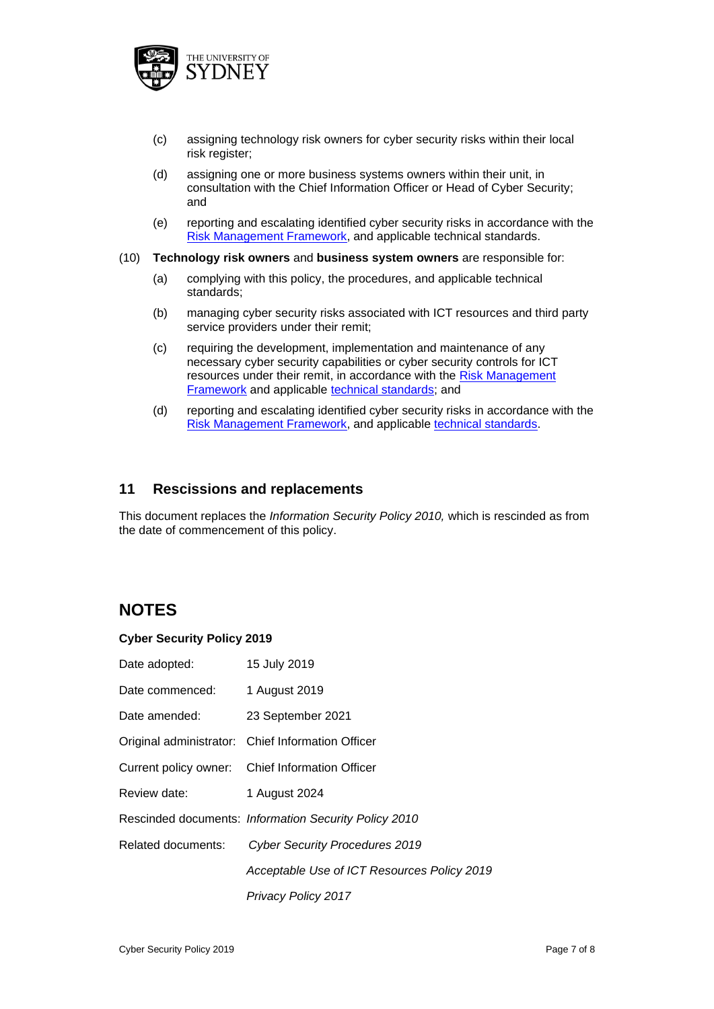

- (c) assigning technology risk owners for cyber security risks within their local risk register;
- (d) assigning one or more business systems owners within their unit, in consultation with the Chief Information Officer or Head of Cyber Security; and
- (e) reporting and escalating identified cyber security risks in accordance with the [Risk Management Framework,](https://intranet.sydney.edu.au/content/dam/intranet/documents/contacts-connections/services/risk/risk-management-framework.pdf) and applicable technical standards.
- (10) **Technology risk owners** and **business system owners** are responsible for:
	- (a) complying with this policy, the procedures, and applicable technical standards;
	- (b) managing cyber security risks associated with ICT resources and third party service providers under their remit;
	- (c) requiring the development, implementation and maintenance of any necessary cyber security capabilities or cyber security controls for ICT resources under their remit, in accordance with the [Risk Management](https://intranet.sydney.edu.au/content/dam/intranet/documents/contacts-connections/services/risk/risk-management-framework.pdf)  [Framework](https://intranet.sydney.edu.au/content/dam/intranet/documents/contacts-connections/services/risk/risk-management-framework.pdf) and applicable [technical standards;](https://unisyd.sharepoint.com/sites/CPMO/Project/CPMO-44/PUBLISHED%20Cyber%20Security%20Technical%20Standards/Forms/AllItems.aspx) and
	- (d) reporting and escalating identified cyber security risks in accordance with the [Risk Management Framework,](https://intranet.sydney.edu.au/content/dam/intranet/documents/contacts-connections/services/risk/risk-management-framework.pdf) and applicable [technical standards.](https://unisyd.sharepoint.com/sites/CPMO/Project/CPMO-44/PUBLISHED%20Cyber%20Security%20Technical%20Standards/Forms/AllItems.aspx)

#### **11 Rescissions and replacements**

This document replaces the *Information Security Policy 2010,* which is rescinded as from the date of commencement of this policy.

## **NOTES**

#### **Cyber Security Policy 2019**

| Date adopted:                 | 15 July 2019                                          |
|-------------------------------|-------------------------------------------------------|
| Date commenced: 1 August 2019 |                                                       |
| Date amended:                 | 23 September 2021                                     |
|                               | Original administrator: Chief Information Officer     |
|                               | Current policy owner: Chief Information Officer       |
| Review date:                  | 1 August 2024                                         |
|                               | Rescinded documents: Information Security Policy 2010 |
| Related documents:            | <b>Cyber Security Procedures 2019</b>                 |
|                               | Acceptable Use of ICT Resources Policy 2019           |
|                               | <b>Privacy Policy 2017</b>                            |